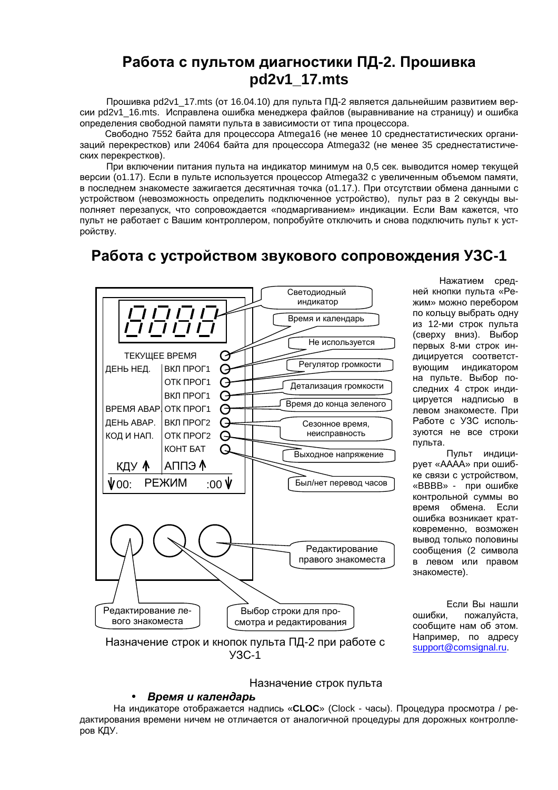# Работа с пультом диагностики ПД-2. Прошивка pd2v1\_17.mts

Прошивка pd2v1 17.mts (от 16.04.10) для пульта ПД-2 является дальнейшим развитием версии pd2v1 16.mts. Исправлена ошибка менеджера файлов (выравнивание на страницу) и ошибка определения свободной памяти пульта в зависимости от типа процессора.

Свободно 7552 байта для процессора Atmega16 (не менее 10 среднестатистических организаций перекрестков) или 24064 байта для процессора Atmega32 (не менее 35 среднестатистических перекрестков).

При включении питания пульта на индикатор минимум на 0,5 сек. выводится номер текущей версии (о1.17). Если в пульте используется процессор Atmega32 с увеличенным объемом памяти, в последнем знакоместе зажигается десятичная точка (о1.17.). При отсутствии обмена данными с устройством (невозможность определить подключенное устройство), пульт раз в 2 секунды выполняет перезапуск, что сопровождается «подмаргиванием» индикации. Если Вам кажется, что пульт не работает с Вашим контроллером, попробуйте отключить и снова подключить пульт к устройству.

## Работа с устройством звукового сопровождения УЗС-1



Нажатием средней кнопки пульта «Режим» можно перебором по кольцу выбрать одну из 12-ми строк пульта (сверху вниз). Выбор первых 8-ми строк индицируется соответствующим индикатором на пульте. Выбор последних 4 строк индицируется надписью в левом знакоместе. При Работе с УЗС используются не все строки пульта.

Пульт индицирует «АААА» при ошибке связи с устройством, «ВВВВ» - при ошибке контрольной суммы во время обмена. Если ошибка возникает кратковременно, возможен ВЫВОД ТОЛЬКО ПОЛОВИНЫ сообщения (2 символа в левом или правом знакоместе).

Если Вы нашли ошибки, пожалуйста, сообщите нам об этом. Например, по адресу support@comsignal.ru.

### Назначение строк пульта

### Время и календарь

На индикаторе отображается надпись «CLOC» (Clock - часы). Процедура просмотра / редактирования времени ничем не отличается от аналогичной процедуры для дорожных контроллеров КДУ.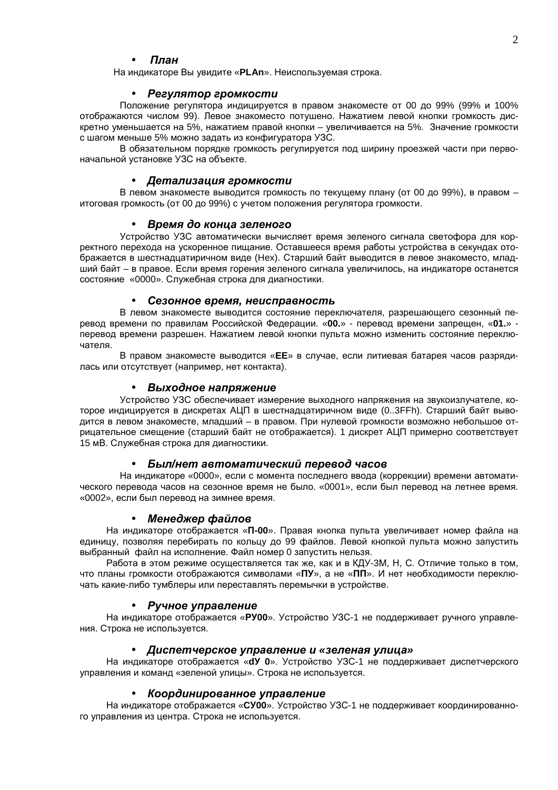### Ппан

На индикаторе Вы увидите «PLAn». Неиспользуемая строка.

#### $\bullet$ Регулятор громкости

Положение регулятора индицируется в правом знакоместе от 00 до 99% (99% и 100% отображаются числом 99). Левое знакоместо потушено. Нажатием левой кнопки громкость дискретно уменьшается на 5%, нажатием правой кнопки – увеличивается на 5%. Значение громкости с шагом меньше 5% можно задать из конфигуратора УЗС.

В обязательном порядке громкость регулируется под ширину проезжей части при первоначальной установке УЗС на объекте.

### • Детализация громкости

В левом знакоместе выводится громкость по текущему плану (от 00 до 99%), в правом итоговая громкость (от 00 до 99%) с учетом положения регулятора громкости.

### • Время до конца зеленого

Устройство УЗС автоматически вычисляет время зеленого сигнала светофора для корректного перехода на ускоренное пищание. Оставшееся время работы устройства в секундах отображается в шестнадцатиричном виде (Hex). Старший байт выводится в левое знакоместо, младший байт - в правое. Если время горения зеленого сигнала увеличилось, на индикаторе останется состояние «0000». Служебная строка для диагностики.

### Сезонное время, неисправность

В левом знакоместе выводится состояние переключателя, разрешающего сезонный перевод времени по правилам Российской Федерации. «00.» - перевод времени запрещен, «01.» перевод времени разрешен. Нажатием левой кнопки пульта можно изменить состояние переключателя.

В правом знакоместе выводится «ЕЕ» в случае, если литиевая батарея часов разрядилась или отсутствует (например, нет контакта).

### • Выходное напряжение

Устройство УЗС обеспечивает измерение выходного напряжения на звукоизлучателе, которое индицируется в дискретах АЦП в шестнадцатиричном виде (0..3FFh). Старший байт выводится в левом знакоместе, младший - в правом. При нулевой громкости возможно небольшое отрицательное смещение (старший байт не отображается). 1 дискрет АЦП примерно соответствует 15 мВ. Служебная строка для диагностики.

#### Был/нет автоматический перевод часов

На индикаторе «0000», если с момента последнего ввода (коррекции) времени автоматического перевода часов на сезонное время не было. «0001», если был перевод на летнее время. «0002», если был перевод на зимнее время.

#### • Менеджер файлов

На индикаторе отображается «П-00». Правая кнопка пульта увеличивает номер файла на единицу, позволяя перебирать по кольцу до 99 файлов. Левой кнопкой пульта можно запустить выбранный файл на исполнение. Файл номер 0 запустить нельзя.

Работа в этом режиме осуществляется так же, как и в КДУ-ЗМ, Н, С. Отличие только в том, что планы громкости отображаются символами «ПУ», а не «ПП». И нет необходимости переключать какие-либо тумблеры или переставлять перемычки в устройстве.

#### Ручное управление  $\bullet$

На индикаторе отображается «РУ00». Устройство УЗС-1 не поддерживает ручного управления. Строка не используется.

#### • Диспетчерское управление и «зеленая улица»

На индикаторе отображается «dy 0». Устройство УЗС-1 не поддерживает диспетчерского управления и команд «зеленой улицы». Строка не используется.

#### • Координированное управление

На индикаторе отображается «СУ00». Устройство УЗС-1 не поддерживает координированного управления из центра. Строка не используется.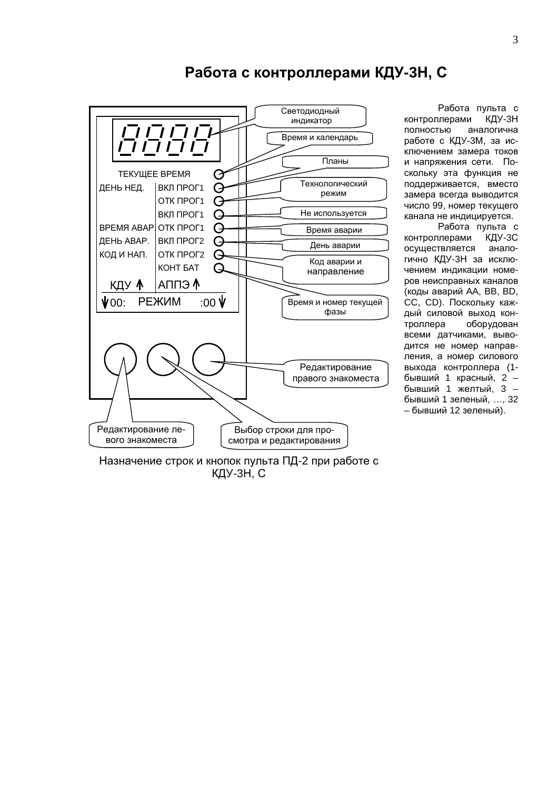

## Работа с контроллерами КДУ-3Н, С

Работа пульта с КДУ-3Н контроллерами полностью аналогична работе с КДУ-3М, за исключением замера токов и напряжения сети. Поскольку эта функция не поддерживается, вместо замера всегда выводится число 99, номер текущего канала не индицируется.

Работа пульта с контроллерами КДУ-3С осуществляется аналогично КДУ-3Н за исключением индикации номеров неисправных каналов (коды аварий AA, BB, BD, СС, CD). Поскольку каж-ДЫЙ СИЛОВОЙ ВЫХОД КОНтроллера оборудован всеми датчиками, выводится не номер направления, а номер силового выхода контроллера (1бывший 1 красный, 2 бывший 1 желтый, 3 бывший 1 зеленый, ..., 32 - бывший 12 зеленый).

Назначение строк и кнопок пульта ПД-2 при работе с КДУ-ЗН, С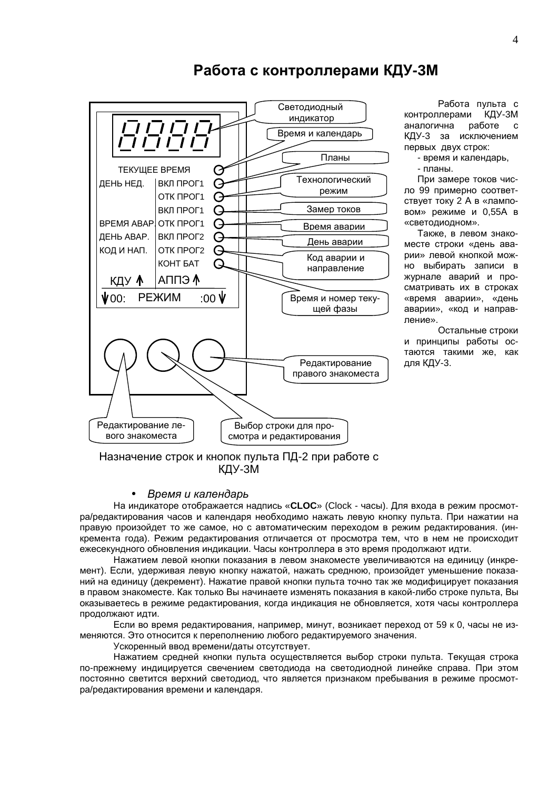

## Работа с контроллерами КДУ-3М

Работа пульта с контроллерами КДУ-3М аналогична работе  $\mathbf{c}$ КДУ-3 за исключением первых двух строк:

- время и календарь,

- планы.

При замере токов число 99 примерно соответствует току 2 А в «ламповом» режиме и 0,55А в «светодиодном».

Также, в левом знакоместе строки «день аварии» левой кнопкой можно выбирать записи в журнале аварий и просматривать их в строках «время аварии», «день аварии», «код и направление».

Остальные строки и принципы работы остаются такими же, как для КДУ-3.

## Назначение строк и кнопок пульта ПД-2 при работе с КДУ-ЗМ

#### Время и календарь

На индикаторе отображается надпись «CLOC» (Clock - часы). Для входа в режим просмотра/редактирования часов и календаря необходимо нажать левую кнопку пульта. При нажатии на правую произойдет то же самое, но с автоматическим переходом в режим редактирования. (инкремента года). Режим редактирования отличается от просмотра тем, что в нем не происходит ежесекундного обновления индикации. Часы контроллера в это время продолжают идти.

Нажатием левой кнопки показания в левом знакоместе увеличиваются на единицу (инкремент). Если, удерживая левую кнопку нажатой, нажать среднюю, произойдет уменьшение показаний на единицу (декремент). Нажатие правой кнопки пульта точно так же модифицирует показания в правом знакоместе. Как только Вы начинаете изменять показания в какой-либо строке пульта, Вы оказываетесь в режиме редактирования, когда индикация не обновляется, хотя часы контроллера продолжают идти.

Если во время редактирования, например, минут, возникает переход от 59 к 0, часы не изменяются. Это относится к переполнению любого редактируемого значения.

Ускоренный ввод времени/даты отсутствует.

Нажатием средней кнопки пульта осуществляется выбор строки пульта. Текущая строка по-прежнему индицируется свечением светодиода на светодиодной линейке справа. При этом постоянно светится верхний светодиод, что является признаком пребывания в режиме просмотра/редактирования времени и календаря.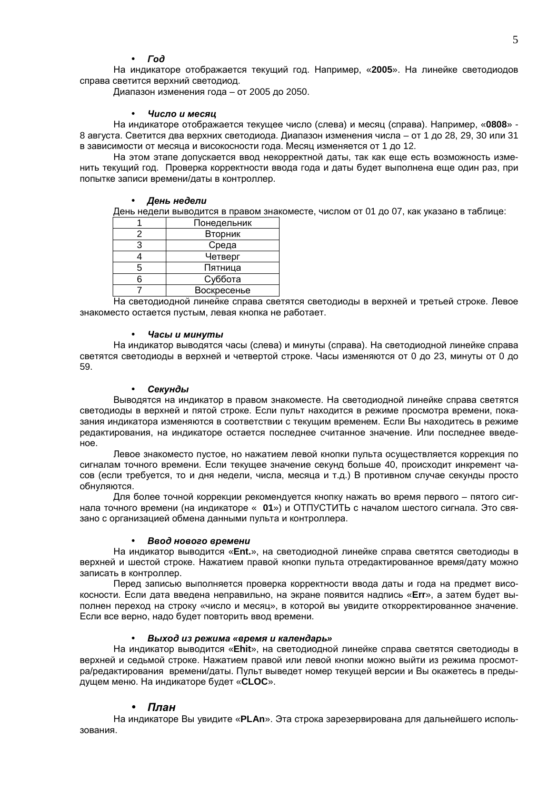#### **Fod**  $\bullet$

На индикаторе отображается текущий год. Например, «2005». На линейке светодиодов справа светится верхний светодиод.

Диапазон изменения года - от 2005 до 2050.

#### Число и месяи  $\bullet$

На индикаторе отображается текущее число (слева) и месяц (справа). Например, «0808» -8 августа. Светится два верхних светодиода. Диапазон изменения числа - от 1 до 28, 29, 30 или 31 в зависимости от месяца и високосности года. Месяц изменяется от 1 до 12.

На этом этапе допускается ввод некорректной даты, так как еще есть возможность изменить текущий год. Проверка корректности ввода года и даты будет выполнена еще один раз, при попытке записи времени/даты в контроллер.

#### • День недели

День недели выводится в правом знакоместе, числом от 01 до 07, как указано в таблице:

|     | Понедельник |
|-----|-------------|
|     | Вторник     |
| з   | Среда       |
|     | Четверг     |
| 5   | Пятница     |
| ี่ค | Суббота     |
|     | Воскресенье |

На светодиодной линейке справа светятся светодиоды в верхней и третьей строке. Левое знакоместо остается пустым, левая кнопка не работает.

#### Часы и минуты

На индикатор выводятся часы (слева) и минуты (справа). На светодиодной линейке справа светятся светодиоды в верхней и четвертой строке. Часы изменяются от 0 до 23, минуты от 0 до 59

#### Секунды  $\bullet$

Выводятся на индикатор в правом знакоместе. На светодиодной линейке справа светятся светодиоды в верхней и пятой строке. Если пульт находится в режиме просмотра времени, показания индикатора изменяются в соответствии с текущим временем. Если Вы находитесь в режиме редактирования, на индикаторе остается последнее считанное значение. Или последнее введеное.

Левое знакоместо пустое, но нажатием левой кнопки пульта осуществляется коррекция по сигналам точного времени. Если текущее значение секунд больше 40, происходит инкремент часов (если требуется, то и дня недели, числа, месяца и т.д.) В противном случае секунды просто обнуляются.

Для более точной коррекции рекомендуется кнопку нажать во время первого - пятого сигнала точного времени (на индикаторе « 01») и ОТПУСТИТЬ с началом шестого сигнала. Это связано с организацией обмена данными пульта и контроллера.

### Ввод нового времени

На индикатор выводится «Ent.», на светодиодной линейке справа светятся светодиоды в верхней и шестой строке. Нажатием правой кнопки пульта отредактированное время/дату можно записать в контроллер.

Перед записью выполняется проверка корректности ввода даты и года на предмет високосности. Если дата введена неправильно, на экране появится надпись «Err», а затем будет выполнен переход на строку «число и месяц», в которой вы увидите откорректированное значение. Если все верно, надо будет повторить ввод времени.

#### Выход из режима «время и календарь»  $\bullet$

На индикатор выводится «Ehit», на светодиодной линейке справа светятся светодиоды в верхней и седьмой строке. Нажатием правой или левой кнопки можно выйти из режима просмотра/редактирования времени/даты. Пульт выведет номер текущей версии и Вы окажетесь в предыдущем меню. На индикаторе будет «CLOC».

### План

На индикаторе Вы увидите «PLAn». Эта строка зарезервирована для дальнейшего использования.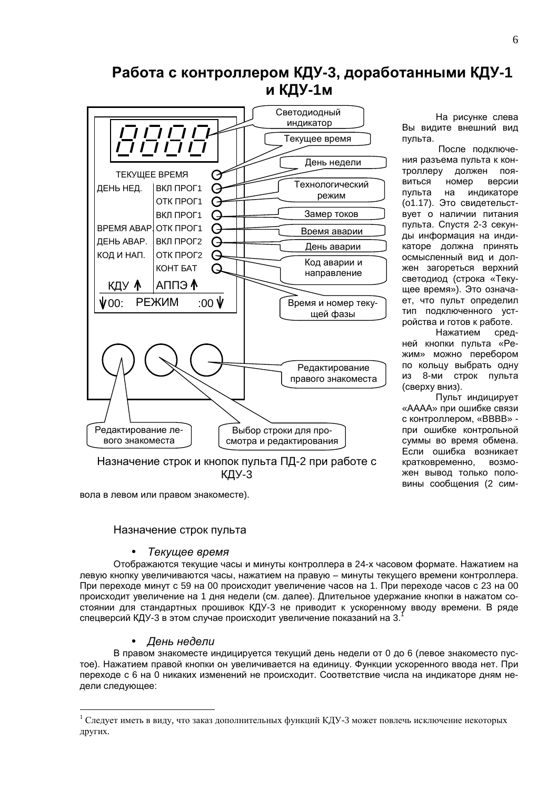# Работа с контроллером КДУ-3, доработанными КДУ-1 и КДУ-1м



На рисунке слева Вы видите внешний вид пульта.

После подключения разъема пульта к контроллеру должен пояномер виться версии пульта на индикаторе (о1.17). Это свидетельствует о наличии питания пульта. Спустя 2-3 секунды информация на индикаторе должна принять осмысленный вид и должен загореться верхний светодиод (строка «Текущее время»). Это означает, что пульт определил тип подключенного устройства и готов к работе.

Нажатием средней кнопки пульта «Режим» можно перебором по кольцу выбрать одну из 8-ми строк пульта (сверху вниз).

Пульт индицирует «АААА» при ошибке связи с контроллером. «ВВВВ» при ошибке контрольной суммы во время обмена. Если ошибка возникает кратковременно, возможен вывод только половины сообщения (2 сим-

вола в левом или правом знакоместе).

### Назначение строк пульта

### Текущее время

Отображаются текущие часы и минуты контроллера в 24-х часовом формате. Нажатием на левую кнопку увеличиваются часы, нажатием на правую - минуты текущего времени контроллера. При переходе минут с 59 на 00 происходит увеличение часов на 1. При переходе часов с 23 на 00 происходит увеличение на 1 дня недели (см. далее). Длительное удержание кнопки в нажатом состоянии для стандартных прошивок КДУ-3 не приводит к ускоренному вводу времени. В ряде спецверсий КДУ-3 в этом случае происходит увеличение показаний на 3.

### День недели

В правом знакоместе индицируется текущий день недели от 0 до 6 (левое знакоместо пустое). Нажатием правой кнопки он увеличивается на единицу. Функции ускоренного ввода нет. При переходе с 6 на 0 никаких изменений не происходит. Соответствие числа на индикаторе дням недели следующее:

Следует иметь в виду, что заказ дополнительных функций КДУ-3 может повлечь исключение некоторых других.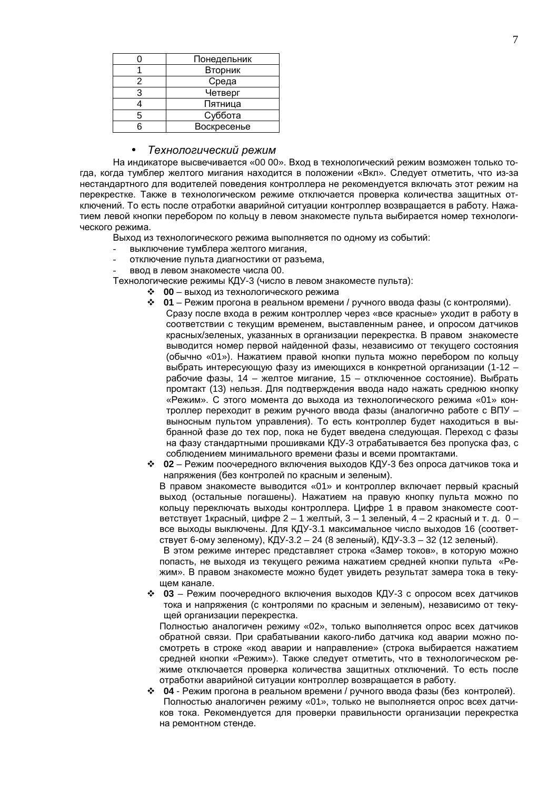|   | Понедельник |
|---|-------------|
|   | Вторник     |
| 2 | Среда       |
| з | Четверг     |
|   | Пятница     |
| 5 | Суббота     |
|   | Воскресенье |

#### $\bullet$ Технологический режим

На индикаторе высвечивается «00 00». Вход в технологический режим возможен только тогда, когда тумблер желтого мигания находится в положении «Вкл». Следует отметить, что из-за нестандартного для водителей поведения контроллера не рекомендуется включать этот режим на перекрестке. Также в технологическом режиме отключается проверка количества защитных отключений. То есть после отработки аварийной ситуации контроллер возвращается в работу. Нажатием левой кнопки перебором по кольцу в левом знакоместе пульта выбирается номер технологического режима.

Выход из технологического режима выполняется по одному из событий:

- выключение тумблера желтого мигания,
- отключение пульта диагностики от разъема,
- ввод в левом знакоместе числа 00.

Технологические режимы КДУ-3 (число в левом знакоместе пульта):

- 00 выход из технологического режима
- ◆ 01 Режим прогона в реальном времени / ручного ввода фазы (с контролями).
	- Сразу после входа в режим контроллер через «все красные» уходит в работу в соответствии с текущим временем, выставленным ранее, и опросом датчиков красных/зеленых, указанных в организации перекрестка. В правом знакоместе выводится номер первой найденной фазы, независимо от текущего состояния (обычно «01»). Нажатием правой кнопки пульта можно перебором по кольцу выбрать интересующую фазу из имеющихся в конкретной организации (1-12 рабочие фазы, 14 - желтое мигание, 15 - отключенное состояние). Выбрать промтакт (13) нельзя. Для подтверждения ввода надо нажать среднюю кнопку «Режим». С этого момента до выхода из технологического режима «01» контроллер переходит в режим ручного ввода фазы (аналогично работе с ВПУ выносным пультом управления). То есть контроллер будет находиться в выбранной фазе до тех пор, пока не будет введена следующая. Переход с фазы на фазу стандартными прошивками КДУ-3 отрабатывается без пропуска фаз, с соблюдением минимального времени фазы и всеми промтактами.
- $\div$  02 Режим поочередного включения выходов КДУ-3 без опроса датчиков тока и напряжения (без контролей по красным и зеленым).

В правом знакоместе выводится «01» и контроллер включает первый красный выход (остальные погашены). Нажатием на правую кнопку пульта можно по кольцу переключать выходы контроллера. Цифре 1 в правом знакоместе соответствует 1 красный, цифре 2 - 1 желтый, 3 - 1 зеленый, 4 - 2 красный и т. д. 0 все выходы выключены. Для КДУ-3.1 максимальное число выходов 16 (соответствует 6-ому зеленому), КДУ-3.2 - 24 (8 зеленый), КДУ-3.3 - 32 (12 зеленый).

В этом режиме интерес представляет строка «Замер токов», в которую можно попасть, не выходя из текущего режима нажатием средней кнопки пульта «Режим». В правом знакоместе можно будет увидеть результат замера тока в текущем канале.

• 03 - Режим поочередного включения выходов КДУ-3 с опросом всех датчиков тока и напряжения (с контролями по красным и зеленым), независимо от текущей организации перекрестка.

Полностью аналогичен режиму «02», только выполняется опрос всех датчиков обратной связи. При срабатывании какого-либо датчика код аварии можно посмотреть в строке «код аварии и направление» (строка выбирается нажатием средней кнопки «Режим»). Также следует отметить, что в технологическом режиме отключается проверка количества защитных отключений. То есть после отработки аварийной ситуации контроллер возвращается в работу.

 $\div$  04 - Режим прогона в реальном времени / ручного ввода фазы (без контролей). Полностью аналогичен режиму «01», только не выполняется опрос всех датчиков тока. Рекомендуется для проверки правильности организации перекрестка на ремонтном стенде.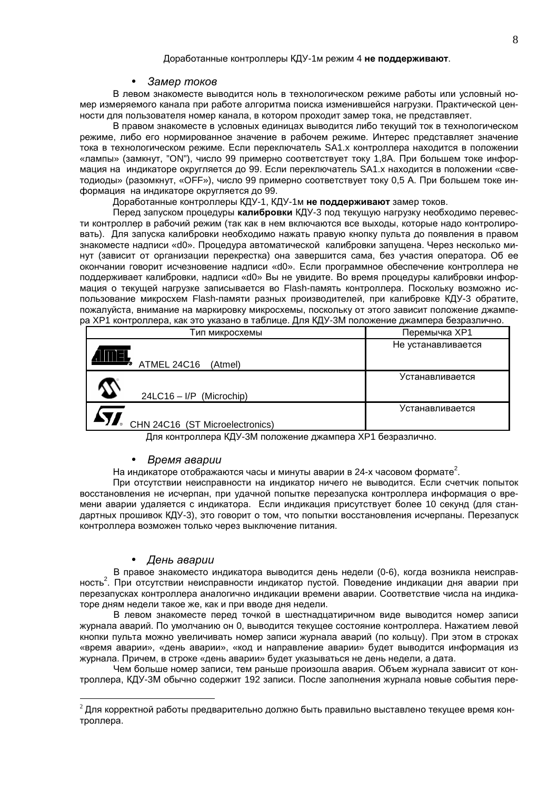#### Замер токов

В левом знакоместе выводится ноль в технологическом режиме работы или условный номер измеряемого канала при работе алгоритма поиска изменившейся нагрузки. Практической ценности для пользователя номер канала, в котором проходит замер тока, не представляет.

В правом знакоместе в условных единицах выводится либо текущий ток в технологическом режиме, либо его нормированное значение в рабочем режиме. Интерес представляет значение тока в технологическом режиме. Если переключатель SA1.x контроллера находится в положении «лампы» (замкнут, "ON"), число 99 примерно соответствует току 1,8А. При большем токе информация на индикаторе округляется до 99. Если переключатель SA1. х находится в положении «светодиоды» (разомкнут, «ОFF»), число 99 примерно соответствует току 0,5 А. При большем токе информация на индикаторе округляется до 99.

Доработанные контроллеры КДУ-1, КДУ-1м не поддерживают замер токов.

Перед запуском процедуры калибровки КДУ-3 под текущую нагрузку необходимо перевести контроллер в рабочий режим (так как в нем включаются все выходы, которые надо контролировать). Для запуска калибровки необходимо нажать правую кнопку пульта до появления в правом знакоместе надписи «d0». Процедура автоматической калибровки запушена. Через несколько минут (зависит от организации перекрестка) она завершится сама, без участия оператора. Об ее окончании говорит исчезновение надписи «d0». Если программное обеспечение контроллера не поддерживает калибровки, надписи «d0» Вы не увидите. Во время процедуры калибровки информация о текущей нагрузке записывается во Flash-память контроллера. Поскольку возможно использование микросхем Flash-памяти разных производителей, при калибровке КДУ-3 обратите, пожалуйста, внимание на маркировку микросхемы, поскольку от этого зависит положение джампера ХР1 контроллера, как это указано в таблице. Для КДУ-3М положение джампера безразлично.

| Тип микросхемы                  | Перемычка ХР1      |
|---------------------------------|--------------------|
| ATMEL 24C16<br>(Atmel)          | Не устанавливается |
| $24LC16 - I/P$ (Microchip)      | Устанавливается    |
| CHN 24C16 (ST Microelectronics) | Устанавливается    |

Для контроллера КДУ-3М положение джампера ХР1 безразлично.

#### Время аварии  $\bullet$

На индикаторе отображаются часы и минуты аварии в 24-х часовом формате<sup>2</sup>.

При отсутствии неисправности на индикатор ничего не выводится. Если счетчик попыток восстановления не исчерпан, при удачной попытке перезапуска контроллера информация о времени аварии удаляется с индикатора. Если индикация присутствует более 10 секунд (для стандартных прошивок КДУ-3), это говорит о том, что попытки восстановления исчерпаны. Перезапуск контроллера возможен только через выключение питания.

### День аварии

В правое знакоместо индикатора выводится день недели (0-6), когда возникла неисправность<sup>2</sup>. При отсутствии неисправности индикатор пустой. Поведение индикации дня аварии при перезапусках контроллера аналогично индикации времени аварии. Соответствие числа на индикаторе дням недели такое же, как и при вводе дня недели.

В левом знакоместе перед точкой в шестнадцатиричном виде выводится номер записи журнала аварий. По умолчанию он 0, выводится текущее состояние контроллера. Нажатием левой кнопки пульта можно увеличивать номер записи журнала аварий (по кольцу). При этом в строках «время аварии», «день аварии», «код и направление аварии» будет выводится информация из журнала. Причем, в строке «день аварии» будет указываться не день недели, а дата.

Чем больше номер записи, тем раньше произошла авария. Объем журнала зависит от контроллера, КДУ-3М обычно содержит 192 записи. После заполнения журнала новые события пере-

 $^{2}$ Для корректной работы предварительно должно быть правильно выставлено текущее время контроллера.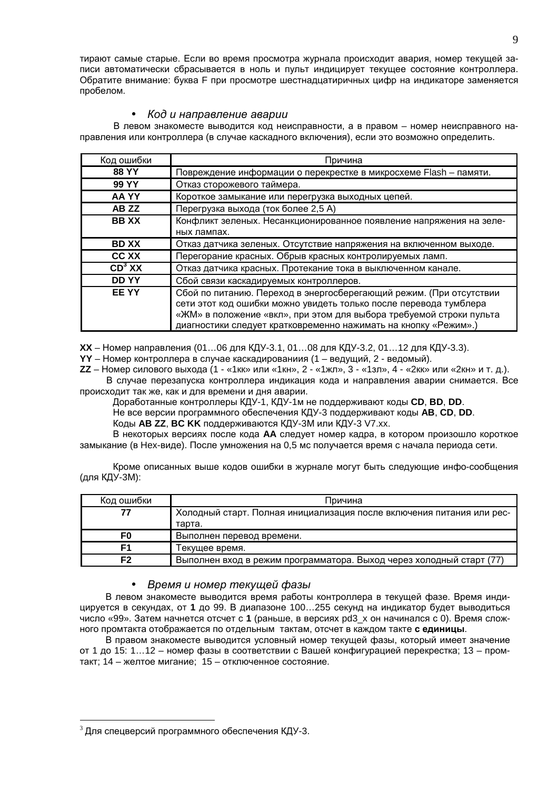тирают самые старые. Если во время просмотра журнала происходит авария, номер текущей записи автоматически сбрасывается в ноль и пульт индицирует текущее состояние контроллера. Обратите внимание: буква F при просмотре шестнадцатиричных цифр на индикаторе заменяется пробелом.

#### Код и направление аварии  $\bullet$

В левом знакоместе выводится код неисправности, а в правом - номер неисправного направления или контроллера (в случае каскадного включения), если это возможно определить.

| Код ошибки         | Причина                                                                                                                                                                                                                                                                            |
|--------------------|------------------------------------------------------------------------------------------------------------------------------------------------------------------------------------------------------------------------------------------------------------------------------------|
| <b>88 YY</b>       | Повреждение информации о перекрестке в микросхеме Flash - памяти.                                                                                                                                                                                                                  |
| <b>99 YY</b>       | Отказ сторожевого таймера.                                                                                                                                                                                                                                                         |
| AA YY              | Короткое замыкание или перегрузка выходных цепей.                                                                                                                                                                                                                                  |
| AB ZZ              | Перегрузка выхода (ток более 2,5 A)                                                                                                                                                                                                                                                |
| <b>BBXX</b>        | Конфликт зеленых. Несанкционированное появление напряжения на зеле-                                                                                                                                                                                                                |
|                    | ных лампах.                                                                                                                                                                                                                                                                        |
| <b>BD XX</b>       | Отказ датчика зеленых. Отсутствие напряжения на включенном выходе.                                                                                                                                                                                                                 |
| <b>CC XX</b>       | Перегорание красных. Обрыв красных контролируемых ламп.                                                                                                                                                                                                                            |
| CD <sup>3</sup> XX | Отказ датчика красных. Протекание тока в выключенном канале.                                                                                                                                                                                                                       |
| <b>DDYY</b>        | Сбой связи каскадируемых контроллеров.                                                                                                                                                                                                                                             |
| <b>EEYY</b>        | Сбой по питанию. Переход в энергосберегающий режим. (При отсутствии<br>сети этот код ошибки можно увидеть только после перевода тумблера<br>«ЖМ» в положение «вкл», при этом для выбора требуемой строки пульта<br>диагностики следует кратковременно нажимать на кнопку «Режим».) |

XX – Номер направления (01...06 для КДУ-3.1, 01...08 для КДУ-3.2, 01...12 для КДУ-3.3).

YY - Номер контроллера в случае каскадированиия (1 - ведущий, 2 - ведомый).

ZZ - Номер силового выхода (1 - «1кк» или «1кн», 2 - «1жл», 3 - «1зл», 4 - «2кк» или «2кн» и т. д.). В случае перезапуска контроллера индикация кода и направления аварии снимается. Все происходит так же, как и для времени и дня аварии.

Доработанные контроллеры КДУ-1, КДУ-1м не поддерживают коды CD, BD, DD.

Не все версии программного обеспечения КДУ-3 поддерживают коды AB, CD, DD.

Коды AB ZZ, BC KK поддерживаются КДУ-3М или КДУ-3 V7.xx.

В некоторых версиях после кода АА следует номер кадра, в котором произошло короткое замыкание (в Нех-виде). После умножения на 0,5 мс получается время с начала периода сети.

Кроме описанных выше кодов ошибки в журнале могут быть следующие инфо-сообщения (для КДУ-3М):

| Код ошибки | Причина                                                               |
|------------|-----------------------------------------------------------------------|
|            | Холодный старт. Полная инициализация после включения питания или рес- |
|            | тарта.                                                                |
| F0         | Выполнен перевод времени.                                             |
| F1         | Текущее время.                                                        |
| F2         | Выполнен вход в режим программатора. Выход через холодный старт (77)  |

#### Время и номер текущей фазы  $\bullet$

В левом знакоместе выводится время работы контроллера в текущей фазе. Время индицируется в секундах, от 1 до 99. В диапазоне 100...255 секунд на индикатор будет выводиться число «99». Затем начнется отсчет с 1 (раньше, в версиях pd3 х он начинался с 0). Время сложного промтакта отображается по отдельным тактам, отсчет в каждом такте с единицы.

В правом знакоместе выводится условный номер текущей фазы, который имеет значение от 1 до 15: 1...12 - номер фазы в соответствии с Вашей конфигурацией перекрестка; 13 - промтакт; 14 - желтое мигание; 15 - отключенное состояние.

 $3$  Для спецверсий программного обеспечения КДУ-3.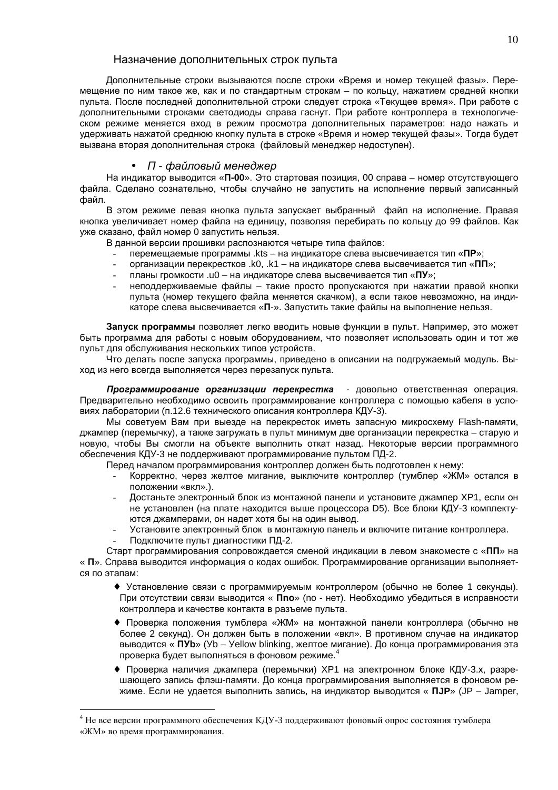### Назначение дополнительных строк пульта

Дополнительные строки вызываются после строки «Время и номер текущей фазы». Перемещение по ним такое же, как и по стандартным строкам - по кольцу, нажатием средней кнопки пульта. После последней дополнительной строки следует строка «Текущее время». При работе с дополнительными строками светодиоды справа гаснут. При работе контроллера в технологическом режиме меняется вход в режим просмотра дополнительных параметров: надо нажать и удерживать нажатой среднюю кнопку пульта в строке «Время и номер текущей фазы». Тогда будет вызвана вторая дополнительная строка (файловый менеджер недоступен).

## • П - файловый менеджер

На индикатор выводится «П-00». Это стартовая позиция, 00 справа - номер отсутствующего файла. Сделано сознательно, чтобы случайно не запустить на исполнение первый записанный файл.

В этом режиме левая кнопка пульта запускает выбранный файл на исполнение. Правая кнопка увеличивает номер файла на единицу, позволяя перебирать по кольцу до 99 файлов. Как уже сказано, файл номер 0 запустить нельзя.

В данной версии прошивки распознаются четыре типа файлов:

- перемещаемые программы .kts на индикаторе слева высвечивается тип «ПР»;
- $\mathbb{Z}^{\mathbb{Z}}$ организации перекрестков .k0, .k1 - на индикаторе слева высвечивается тип «ПП»;
- планы громкости .u0 на индикаторе слева высвечивается тип «ПУ»;  $\mathbf{r}$
- неподдерживаемые файлы такие просто пропускаются при нажатии правой кнопки пульта (номер текушего файла меняется скачком), а если такое невозможно, на индикаторе слева высвечивается «П-». Запустить такие файлы на выполнение нельзя.

Запуск программы позволяет легко вводить новые функции в пульт. Например, это может быть программа для работы с новым оборудованием, что позволяет использовать один и тот же пульт для обслуживания нескольких типов устройств.

Что делать после запуска программы, приведено в описании на подгружаемый модуль. Выход из него всегда выполняется через перезапуск пульта.

Программирование организации перекрестка - довольно ответственная операция. Предварительно необходимо освоить программирование контроллера с помощью кабеля в условиях лаборатории (п.12.6 технического описания контроллера КДУ-3).

Мы советуем Вам при выезде на перекресток иметь запасную микросхему Flash-памяти, джампер (перемычку), а также загружать в пульт минимум две организации перекрестка - старую и новую, чтобы Вы смогли на объекте выполнить откат назад. Некоторые версии программного обеспечения КДУ-3 не поддерживают программирование пультом ПД-2.

Перед началом программирования контроллер должен быть подготовлен к нему:

- Корректно, через желтое мигание, выключите контроллер (тумблер «ЖМ» остался в положении «вкл».).
- Достаньте электронный блок из монтажной панели и установите джампер XP1, если он не установлен (на плате находится выше процессора D5). Все блоки КДУ-3 комплектуются джамперами, он надет хотя бы на один вывод.
- Установите электронный блок в монтажную панель и включите питание контроллера.
- Подключите пульт диагностики ПД-2.

Старт программирования сопровождается сменой индикации в левом знакоместе с «ПП» на « П». Справа выводится информация о кодах ошибок. Программирование организации выполняется по этапам:

- Установление связи с программируемым контроллером (обычно не более 1 секунды). При отсутствии связи выводится « Ппо» (по - нет). Необходимо убедиться в исправности контроллера и качестве контакта в разъеме пульта.
- Проверка положения тумблера «ЖМ» на монтажной панели контроллера (обычно не более 2 секунд). Он должен быть в положении «вкл». В противном случае на индикатор выводится « ПУb» (Уb - Yellow blinking, желтое мигание). До конца программирования эта проверка будет выполняться в фоновом режиме.
- Проверка наличия джампера (перемычки) ХР1 на электронном блоке КДУ-3.х. разрешающего запись флэш-памяти. До конца программирования выполняется в фоновом режиме. Если не удается выполнить запись, на индикатор выводится « ПЈР» (JP - Jamper,

 $4$  Не все версии программного обеспечения КДУ-3 поддерживают фоновый опрос состояния тумблера «ЖМ» во время программирования.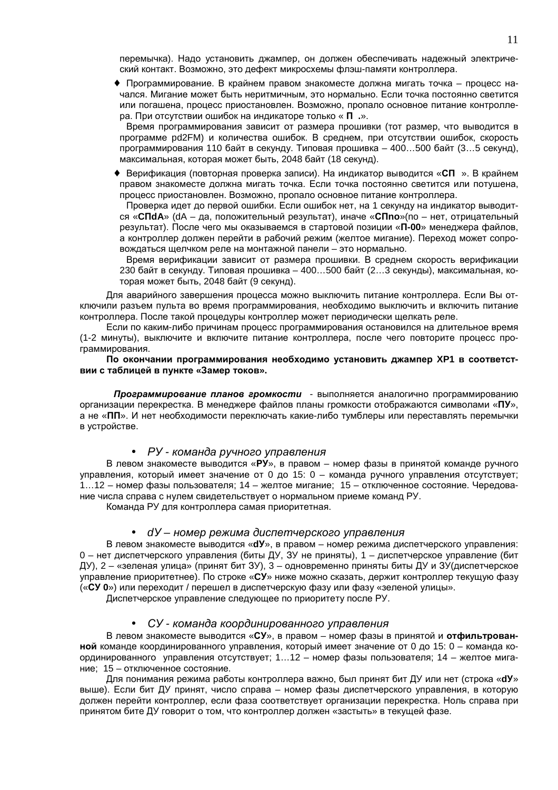перемычка). Надо установить джампер, он должен обеспечивать надежный электрический контакт. Возможно, это дефект микросхемы флэш-памяти контроллера.

• Программирование. В крайнем правом знакоместе должна мигать точка - процесс начался. Мигание может быть неритмичным, это нормально. Если точка постоянно светится или погашена, процесс приостановлен. Возможно, пропало основное питание контроллера. При отсутствии ошибок на индикаторе только «П. ».

Время программирования зависит от размера прошивки (тот размер, что выводится в программе pd2FM) и количества ошибок. В среднем, при отсутствии ошибок, скорость программирования 110 байт в секунду. Типовая прошивка - 400...500 байт (3...5 секунд), максимальная, которая может быть, 2048 байт (18 секунд).

• Верификация (повторная проверка записи). На индикатор выводится «СП ». В крайнем правом знакоместе должна мигать точка. Если точка постоянно светится или потушена, процесс приостановлен. Возможно, пропало основное питание контроллера.

Проверка идет до первой ошибки. Если ошибок нет, на 1 секунду на индикатор выводится «СПdА» (dA - да, положительный результат), иначе «СПпо» (по - нет, отрицательный результат). После чего мы оказываемся в стартовой позиции «П-00» менеджера файлов, а контроллер должен перейти в рабочий режим (желтое мигание). Переход может сопровождаться щелчком реле на монтажной панели - это нормально.

Время верификации зависит от размера прошивки. В среднем скорость верификации 230 байт в секунду. Типовая прошивка - 400...500 байт (2...3 секунды), максимальная, которая может быть, 2048 байт (9 секунд).

Для аварийного завершения процесса можно выключить питание контроллера. Если Вы отключили разъем пульта во время программирования, необходимо выключить и включить питание контроллера. После такой процедуры контроллер может периодически шелкать реле.

Если по каким-либо причинам процесс программирования остановился на длительное время (1-2 минуты), выключите и включите питание контроллера, после чего повторите процесс программирования.

#### По окончании программирования необходимо установить джампер ХР1 в соответствии с таблицей в пункте «Замер токов».

Программирование планов громкости - выполняется аналогично программированию организации перекрестка. В менеджере файлов планы громкости отображаются символами «ПУ», а не «ПП». И нет необходимости переключать какие-либо тумблеры или переставлять перемычки в устройстве.

### • РУ - команда ручного управления

В левом знакоместе выводится «РУ», в правом - номер фазы в принятой команде ручного управления, который имеет значение от 0 до 15: 0 - команда ручного управления отсутствует; 1...12 - номер фазы пользователя; 14 - желтое мигание; 15 - отключенное состояние. Чередование числа справа с нулем свидетельствует о нормальном приеме команд РУ.

Команда РУ для контроллера самая приоритетная.

#### dУ – номер режима диспетчерского управления  $\bullet$

В левом знакоместе выводится «dУ», в правом - номер режима диспетчерского управления: 0 - нет диспетчерского управления (биты ДУ, ЗУ не приняты), 1 - диспетчерское управление (бит ДУ), 2 - «зеленая улица» (принят бит ЗУ), 3 - одновременно приняты биты ДУ и ЗУ(диспетчерское управление приоритетнее). По строке «СУ» ниже можно сказать, держит контроллер текущую фазу («СУ 0») или переходит / перешел в диспетчерскую фазу или фазу «зеленой улицы».

Диспетчерское управление следующее по приоритету после РУ.

### • СУ-команда координированного управления

В левом знакоместе выводится «СУ», в правом - номер фазы в принятой и отфильтрованной команде координированного управления, который имеет значение от 0 до 15: 0 - команда координированного управления отсутствует; 1...12 - номер фазы пользователя; 14 - желтое мигание; 15 - отключенное состояние.

Для понимания режима работы контроллера важно, был принят бит ДУ или нет (строка «dy» выше). Если бит ДУ принят, число справа – номер фазы диспетчерского управления, в которую должен перейти контроллер, если фаза соответствует организации перекрестка. Ноль справа при принятом бите ДУ говорит о том, что контроллер должен «застыть» в текущей фазе.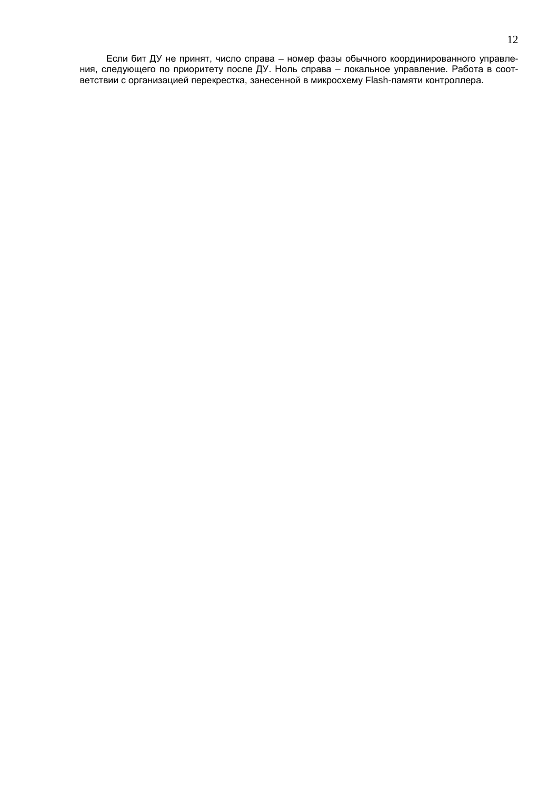Если бит ДУ не принят, число справа - номер фазы обычного координированного управления, следующего по приоритету после ДУ. Ноль справа - локальное управление. Работа в соответствии с организацией перекрестка, занесенной в микросхему Flash-памяти контроллера.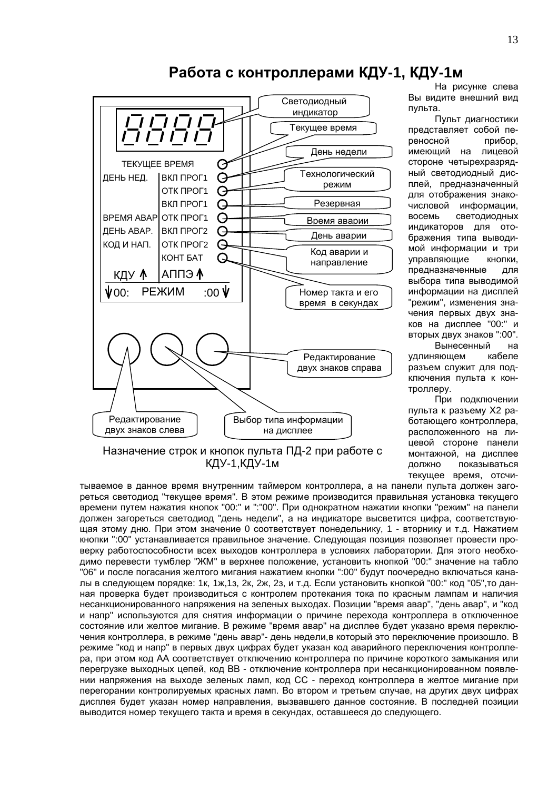

# Работа с контроллерами КДУ-1, КДУ-1м

На рисунке слева Вы видите внешний вид пульта.

Пульт диагностики представляет собой переносной прибор. имеющий на лицевой стороне четырехразрядный светодиодный дисплей, предназначенный для отображения знакочисловой информации. восемь светодиодных индикаторов для отображения типа выводимой информации и три управляющие кнопки, предназначенные для выбора типа выводимой информации на дисплей "режим", изменения значения первых двух знаков на дисплее "00:" и вторых двух знаков ":00".

Вынесенный на **VДЛИНЯЮЩЕМ** кабеле разъем служит для подключения пульта к контроллеру.

При подключении пульта к разъему Х2 работающего контроллера, расположенного на лицевой стороне панели монтажной, на дисплее должно показываться текущее время, отсчи-

## Назначение строк и кнопок пульта ПД-2 при работе с КДУ-1, КДУ-1м

тываемое в данное время внутренним таймером контроллера, а на панели пульта должен загореться светодиод "текущее время". В этом режиме производится правильная установка текущего времени путем нажатия кнопок "00:" и ": "00". При однократном нажатии кнопки "режим" на панели должен загореться светодиод "день недели", а на индикаторе высветится цифра, соответствующая этому дню. При этом значение 0 соответствует понедельнику, 1 - вторнику и т.д. Нажатием кнопки ":00" устанавливается правильное значение. Следующая позиция позволяет провести проверку работоспособности всех выходов контроллера в условиях лаборатории. Для этого необходимо перевести тумблер "ЖМ" в верхнее положение, установить кнопкой "00:" значение на табло "06" и после погасания желтого мигания нажатием кнопки ":00" будут поочередно включаться каналы в следующем порядке: 1к, 1ж, 1з, 2к, 2ж, 2з, и т.д. Если установить кнопкой "00:" код "05", то данная проверка будет производиться с контролем протекания тока по красным лампам и наличия несанкционированного напряжения на зеленых выходах. Позиции "время авар", "день авар", и "код и напр" используются для снятия информации о причине перехода контроллера в отключенное состояние или желтое мигание. В режиме "время авар" на дисплее будет указано время переключения контроллера, в режиме "день авар"- день недели, в который это переключение произошло. В режиме "код и напр" в первых двух цифрах будет указан код аварийного переключения контроллера, при этом код АА соответствует отключению контроллера по причине короткого замыкания или перегрузке выходных цепей, код ВВ - отключение контроллера при несанкционированном появлении напряжения на выходе зеленых ламп, код СС - переход контроллера в желтое мигание при перегорании контролируемых красных ламп. Во втором и третьем случае, на других двух цифрах дисплея будет указан номер направления, вызвавшего данное состояние. В последней позиции выводится номер текущего такта и время в секундах, оставшееся до следующего.